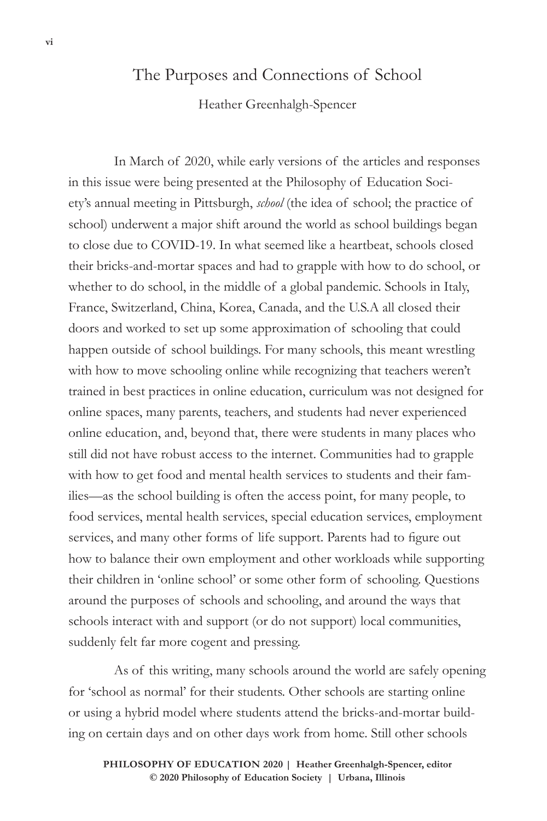## The Purposes and Connections of School

Heather Greenhalgh-Spencer

In March of 2020, while early versions of the articles and responses in this issue were being presented at the Philosophy of Education Society's annual meeting in Pittsburgh, *school* (the idea of school; the practice of school) underwent a major shift around the world as school buildings began to close due to COVID-19. In what seemed like a heartbeat, schools closed their bricks-and-mortar spaces and had to grapple with how to do school, or whether to do school, in the middle of a global pandemic. Schools in Italy, France, Switzerland, China, Korea, Canada, and the U.S.A all closed their doors and worked to set up some approximation of schooling that could happen outside of school buildings. For many schools, this meant wrestling with how to move schooling online while recognizing that teachers weren't trained in best practices in online education, curriculum was not designed for online spaces, many parents, teachers, and students had never experienced online education, and, beyond that, there were students in many places who still did not have robust access to the internet. Communities had to grapple with how to get food and mental health services to students and their families—as the school building is often the access point, for many people, to food services, mental health services, special education services, employment services, and many other forms of life support. Parents had to figure out how to balance their own employment and other workloads while supporting their children in 'online school' or some other form of schooling. Questions around the purposes of schools and schooling, and around the ways that schools interact with and support (or do not support) local communities, suddenly felt far more cogent and pressing.

As of this writing, many schools around the world are safely opening for 'school as normal' for their students. Other schools are starting online or using a hybrid model where students attend the bricks-and-mortar building on certain days and on other days work from home. Still other schools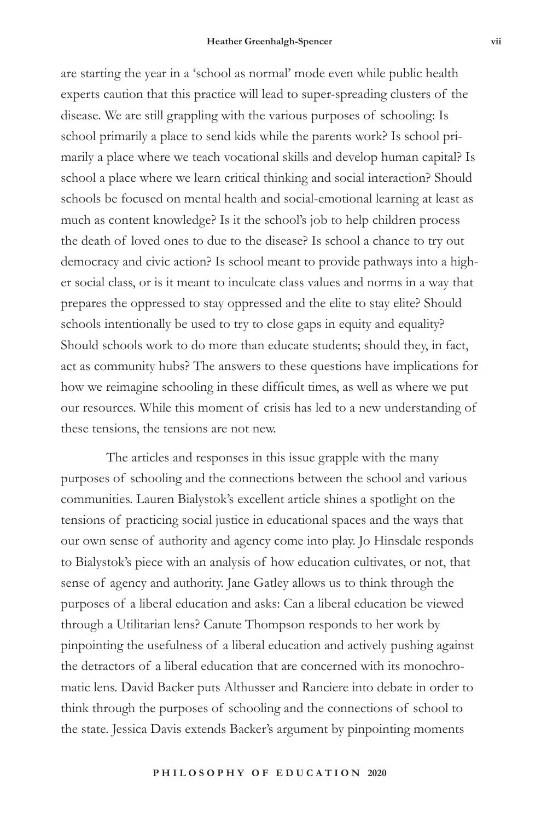are starting the year in a 'school as normal' mode even while public health experts caution that this practice will lead to super-spreading clusters of the disease. We are still grappling with the various purposes of schooling: Is school primarily a place to send kids while the parents work? Is school primarily a place where we teach vocational skills and develop human capital? Is school a place where we learn critical thinking and social interaction? Should schools be focused on mental health and social-emotional learning at least as much as content knowledge? Is it the school's job to help children process the death of loved ones to due to the disease? Is school a chance to try out democracy and civic action? Is school meant to provide pathways into a higher social class, or is it meant to inculcate class values and norms in a way that prepares the oppressed to stay oppressed and the elite to stay elite? Should schools intentionally be used to try to close gaps in equity and equality? Should schools work to do more than educate students; should they, in fact, act as community hubs? The answers to these questions have implications for how we reimagine schooling in these difficult times, as well as where we put our resources. While this moment of crisis has led to a new understanding of these tensions, the tensions are not new.

The articles and responses in this issue grapple with the many purposes of schooling and the connections between the school and various communities. Lauren Bialystok's excellent article shines a spotlight on the tensions of practicing social justice in educational spaces and the ways that our own sense of authority and agency come into play. Jo Hinsdale responds to Bialystok's piece with an analysis of how education cultivates, or not, that sense of agency and authority. Jane Gatley allows us to think through the purposes of a liberal education and asks: Can a liberal education be viewed through a Utilitarian lens? Canute Thompson responds to her work by pinpointing the usefulness of a liberal education and actively pushing against the detractors of a liberal education that are concerned with its monochromatic lens. David Backer puts Althusser and Ranciere into debate in order to think through the purposes of schooling and the connections of school to the state. Jessica Davis extends Backer's argument by pinpointing moments